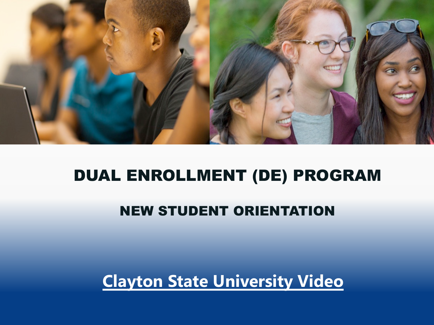

#### DUAL ENROLLMENT (DE) PROGRAM

#### NEW STUDENT ORIENTATION

**Clayton State University Video**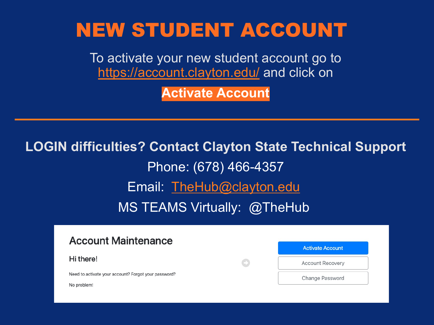#### NEW ST[UDENT ACCO](mailto:TheHub@clayton.edu)UNT

To activate your new student account go to https://account.clayton.edu/ and click on

**Activate Account**

#### **LOGIN difficulties? Contact Clayton State Technical Su**

Phone: (678) 466-4357 Email: TheHub@clayton.edu MS TEAMS Virtually: @TheHub

#### **Account Maintenance**

Hi there!

Need to activate your account? Forgot your password?

No problem!

| <b>Activate Account</b> |
|-------------------------|
| <b>Account Recovery</b> |
| Change Password         |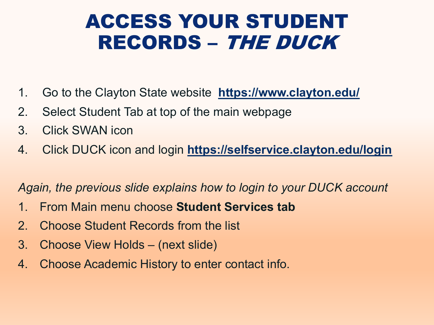#### ACCESS YOUR STUDENT RECORDS – THE DUCK

- 1. Go to the Clayton State website **https://www.clayton.edu/**
- 2. Select Student Tab at top of the main webpage
- 3. Click SWAN icon
- 4. Click DUCK icon and login https://selfservice.clayton.edu/lo

Again, the previous slide explains how to login to your DUCK account

- 1. From Main menu choose **Student Services tab**
- 2. Choose Student Records from the list
- 3. Choose View Holds (next slide)
- 4. Choose Academic History to enter contact info.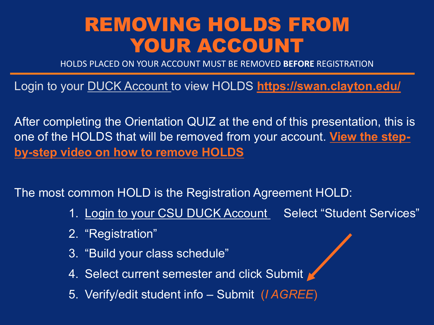#### REMOVING HOLDS FROM YOUR ACCOUNT

HOLDS PLACED ON YOUR ACCOUNT MUST BE REMOVED **BEFORE** REGISTRATION

Login to your **DUCK Account** to view HOLDS **https://swan.claytor** 

After completing the Orientation QUIZ at the end of this presentation one of the HOLDS that will be removed from your account. View the **by-step video on how to remove HOLDS**

The most common HOLD is the Registration Agreement HOLD:

- 1. Login to your CSU DUCK Account Select "Student"
- 2. "Registration"
- 3. "Build your class schedule"
- 4. Select current semester and click Submit
- 5. Verify/edit student info Submit (*I AGREE*)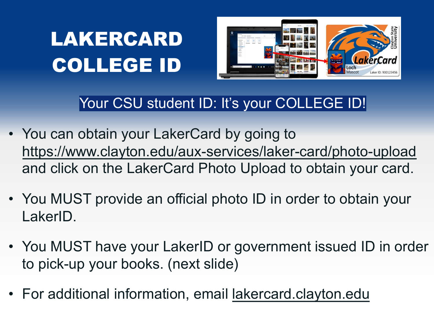# LAKERCARD COLLEGE ID



#### Your CSU student ID: It's your COLLEGE ID!

- You can obtain your LakerCard by going to https://www.clayton.edu/aux-services/laker-card/photo and click on the LakerCard Photo Upload to obtain your
- You MUST provide an official photo ID in order to obtain LakerID.
- You MUST have your LakerID or government issued II to pick-up your books. (next slide)
- For additional information, email lakercard.clayton.edu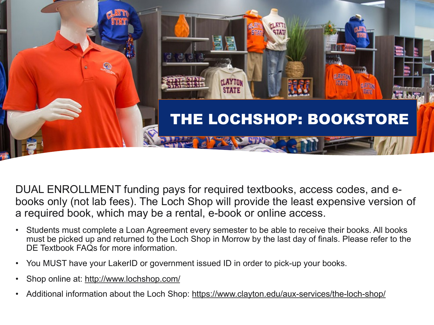

DUAL ENROLLMENT funding pays for required textbooks, access codes, books only (not lab fees). The Loch Shop will provide the least expensive a required book, which may be a rental, e-book or online access.

- Students must complete a Loan Agreement every semester to be able to receive their books. must be picked up and returned to the Loch Shop in Morrow by the last day of finals. Please DE Textbook FAQs for more information.
- You MUST have your LakerID or government issued ID in order to pick-up your books.
- Shop online at: http://www.lochshop.com/
- Additional information about the Loch Shop: https://www.clayton.edu/aux-services/the-loch-s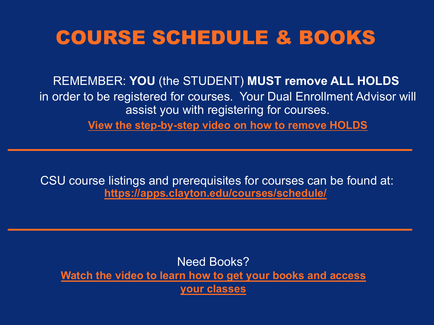#### COU[RSE SCHEDULE & BO](https://apps.clayton.edu/courses/schedule/)OKS

REMEMBER: YOU (the STUDENT) MUST remove ALL HO in order to be registered for courses. Your Dual Enrollment Ad assist you with registering for courses.

**[View the step-by-step video on how to remove HOLDS](https://youtu.be/7dZ-fCL-ttY)**

CSU course listings and prerequisites for courses can be four **https://apps.clayton.edu/courses/schedule/**

Need Books? **Watch the video to learn how to get your books and access your classes**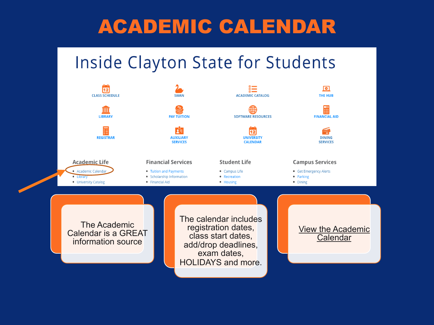# ACADEMIC CALENDAR

#### **Inside Clayton State for Students**

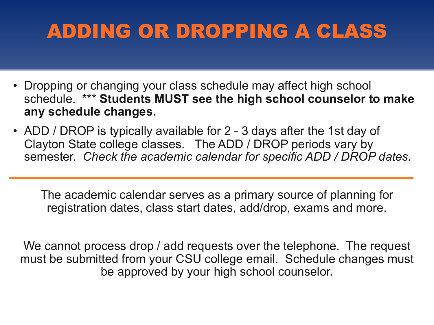# ADDING OR DROPPING A CLASS

- Dropping or changing your class schedule may affect high school schedule. \*\*\* **Students MUST see the high school counselor to make any schedule changes.**
- ADD / DROP is typically available for 2 3 days after the 1st day of Clayton State college classes. The ADD / DROP periods vary by semester. *Check the academic calendar for specific ADD / DROP dates.*

The academic calendar serves as a primary source of planning for registration dates, class start dates, add/drop, exams and more.

We cannot process drop / add requests over the telephone. The request must be submitted from your CSU college email. Schedule changes must be approved by your high school counselor.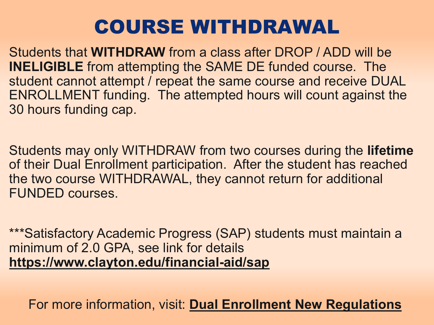### COURSE WITHDRAWAL

Students that **WITHDRAW** from a class after DROP / ADD will **INELIGIBLE** from attempting the SAME DE funded course. The student cannot attempt / repeat the same course and receive ENROLLMENT funding. The attempted hours will count again [30 hours funding cap.](https://www.clayton.edu/financial-aid/sap)

Students may only WITHDRAW [from two courses during the](https://gsfc.georgia.gov/regulations/regulations-2020-2021) **lingth** of their Dual Enrollment participation. After the student has re the two course WITHDRAWAL, they cannot return for addition FUNDED courses.

\*\*\*Satisfactory Academic Progress (SAP) students must main minimum of 2.0 GPA, see link for details **https://www.clayton.edu/financial-aid/sap**

For more information, visit: **Dual Enrollment New Regula**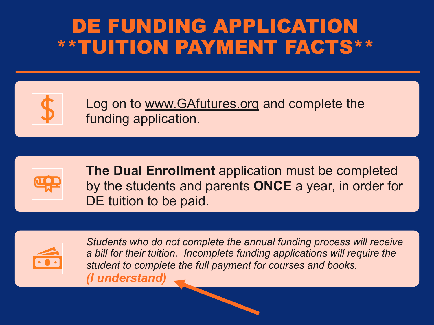#### DE FUNDING APPLICATION \*\*TUITION PAYMENT FACTS\*\*



Log on to www.GAfutures.org and complete the funding application.



**The Dual Enrollment** application must be comp by the students and parents **ONCE** a year, in order DE tuition to be paid.



*Students who do not complete the annual funding process will a bill for their tuition. Incomplete funding applications will require the bill field student to complete the full payment for courses and books. (I understand)*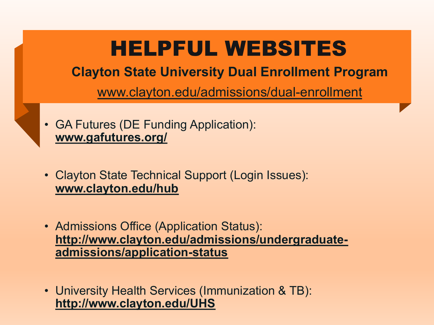# [HELPF](http://www.clayton.edu/hub)UL WEBSITES

**Clayton State University Dual Enrollment Progr** 

[www.clayton.edu/admissions/dual-enrollme](http://www.clayton.edu/admissions/undergraduate-admissions/application-status)nt

- GA Futures (DE Funding Application): **www.gafutures.org/**
- Clayton State Technical Support (Login Issues): **www.clayton.edu/hub**
- Admissions Office (Application Status): **http://www.clayton.edu/admissions/undergraduateadmissions/application-status**
- University Health Services (Immunization & TB): **http://www.clayton.edu/UHS**